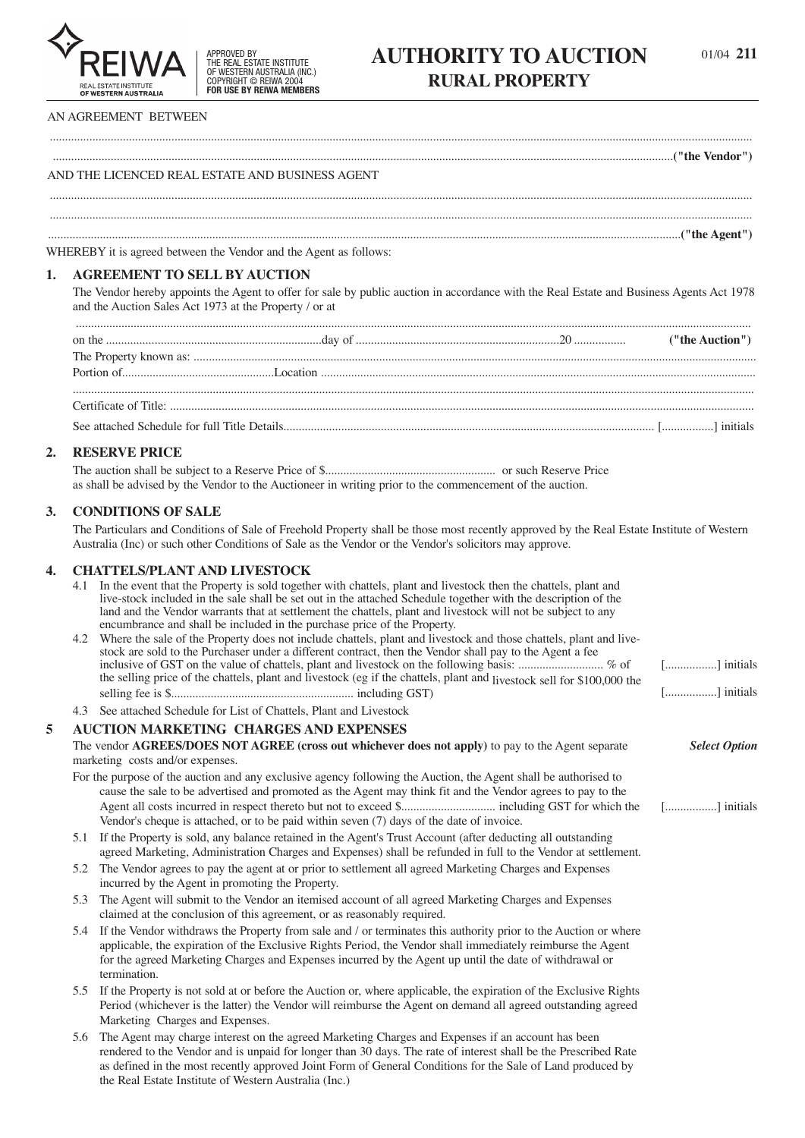

THE REAL ESTATE INSTITUTE OF WESTERN AUSTRALIA (INC.) COPYRIGHT © REIWA 2004 **FOR USE BY REIWA MEMBERS**

# APPROVED BY **AUTHORITY TO AUCTION** 01/04 211 **RURAL PROPERTY**

#### **AN AGREEMENT BETWEEN**

**AND THE LICENCED REAL ESTATE AND BUSINESS AGENT**

**................................................................................................................................................................................................................("the Agent")**

**WHEREBY it is agreed between the Vendor and the Agent as follows:**

#### **1. AGREEMENT TO SELL BY AUCTION**

The Vendor hereby appoints the Agent to offer for sale by public auction in accordance with the Real Estate and Business Agents Act 1978 **and the Auction Sales Act 1973 at the Property / or at**

**.......................................................................................................................................................................................................................................**

**....................................................................................................................................................................................................................................... .......................................................................................................................................................................................................................................**

("the Vendor") ("the Vendor") ("the Vendor") ("the Vendor") ("the Vendor") ("the Vendor") ("the Vendor")

## **2. RESERVE PRICE**

**The auction shall be subject to a Reserve Price of \$........................................................ or such Reserve Price** as shall be advised by the Vendor to the Auctioneer in writing prior to the commencement of the auction.

#### **3. CONDITIONS OF SALE**

The Particulars and Conditions of Sale of Freehold Property shall be those most recently approved by the Real Estate Institute of Western **Australia (Inc) or such other Conditions of Sale as the Vendor or the Vendor's solicitors may approve.**

# **4. CHATTELS/PLANT AND LIVESTOCK**

**the Real Estate Institute of Western Australia (Inc.)**

|   |     | CHAI LELS/I LANT AND LIVESTOCK                                                                                                                                                                                                                                                                                                                               |                      |
|---|-----|--------------------------------------------------------------------------------------------------------------------------------------------------------------------------------------------------------------------------------------------------------------------------------------------------------------------------------------------------------------|----------------------|
|   |     | 4.1 In the event that the Property is sold together with chattels, plant and livestock then the chattels, plant and<br>live-stock included in the sale shall be set out in the attached Schedule together with the description of the<br>land and the Vendor warrants that at settlement the chattels, plant and livestock will not be subject to any        |                      |
|   |     | encumbrance and shall be included in the purchase price of the Property.                                                                                                                                                                                                                                                                                     |                      |
|   |     | 4.2 Where the sale of the Property does not include chattels, plant and livestock and those chattels, plant and live-<br>stock are sold to the Purchaser under a different contract, then the Vendor shall pay to the Agent a fee                                                                                                                            |                      |
|   |     | inclusive of GST on the value of chattels, plant and livestock on the following basis:  % of<br>the selling price of the chattels, plant and livestock (eg if the chattels, plant and livestock sell for \$100,000 the                                                                                                                                       | [] initials          |
|   |     |                                                                                                                                                                                                                                                                                                                                                              | [] initials          |
|   |     | 4.3 See attached Schedule for List of Chattels, Plant and Livestock                                                                                                                                                                                                                                                                                          |                      |
| 5 |     | <b>AUCTION MARKETING CHARGES AND EXPENSES</b>                                                                                                                                                                                                                                                                                                                |                      |
|   |     | The vendor AGREES/DOES NOT AGREE (cross out whichever does not apply) to pay to the Agent separate                                                                                                                                                                                                                                                           | <b>Select Option</b> |
|   |     | marketing costs and/or expenses.                                                                                                                                                                                                                                                                                                                             |                      |
|   |     | For the purpose of the auction and any exclusive agency following the Auction, the Agent shall be authorised to                                                                                                                                                                                                                                              |                      |
|   |     | cause the sale to be advertised and promoted as the Agent may think fit and the Vendor agrees to pay to the<br>Vendor's cheque is attached, or to be paid within seven (7) days of the date of invoice.                                                                                                                                                      | [] initials          |
|   |     | 5.1 If the Property is sold, any balance retained in the Agent's Trust Account (after deducting all outstanding<br>agreed Marketing, Administration Charges and Expenses) shall be refunded in full to the Vendor at settlement.                                                                                                                             |                      |
|   |     | 5.2 The Vendor agrees to pay the agent at or prior to settlement all agreed Marketing Charges and Expenses<br>incurred by the Agent in promoting the Property.                                                                                                                                                                                               |                      |
|   | 5.3 | The Agent will submit to the Vendor an itemised account of all agreed Marketing Charges and Expenses<br>claimed at the conclusion of this agreement, or as reasonably required.                                                                                                                                                                              |                      |
|   |     | 5.4 If the Vendor withdraws the Property from sale and / or terminates this authority prior to the Auction or where<br>applicable, the expiration of the Exclusive Rights Period, the Vendor shall immediately reimburse the Agent<br>for the agreed Marketing Charges and Expenses incurred by the Agent up until the date of withdrawal or<br>termination. |                      |
|   |     | 5.5 If the Property is not sold at or before the Auction or, where applicable, the expiration of the Exclusive Rights<br>Period (whichever is the latter) the Vendor will reimburse the Agent on demand all agreed outstanding agreed<br>Marketing Charges and Expenses.                                                                                     |                      |
|   | 5.6 | The Agent may charge interest on the agreed Marketing Charges and Expenses if an account has been<br>rendered to the Vendor and is unpaid for longer than 30 days. The rate of interest shall be the Prescribed Rate<br>as defined in the most recently approved Joint Form of General Conditions for the Sale of Land produced by                           |                      |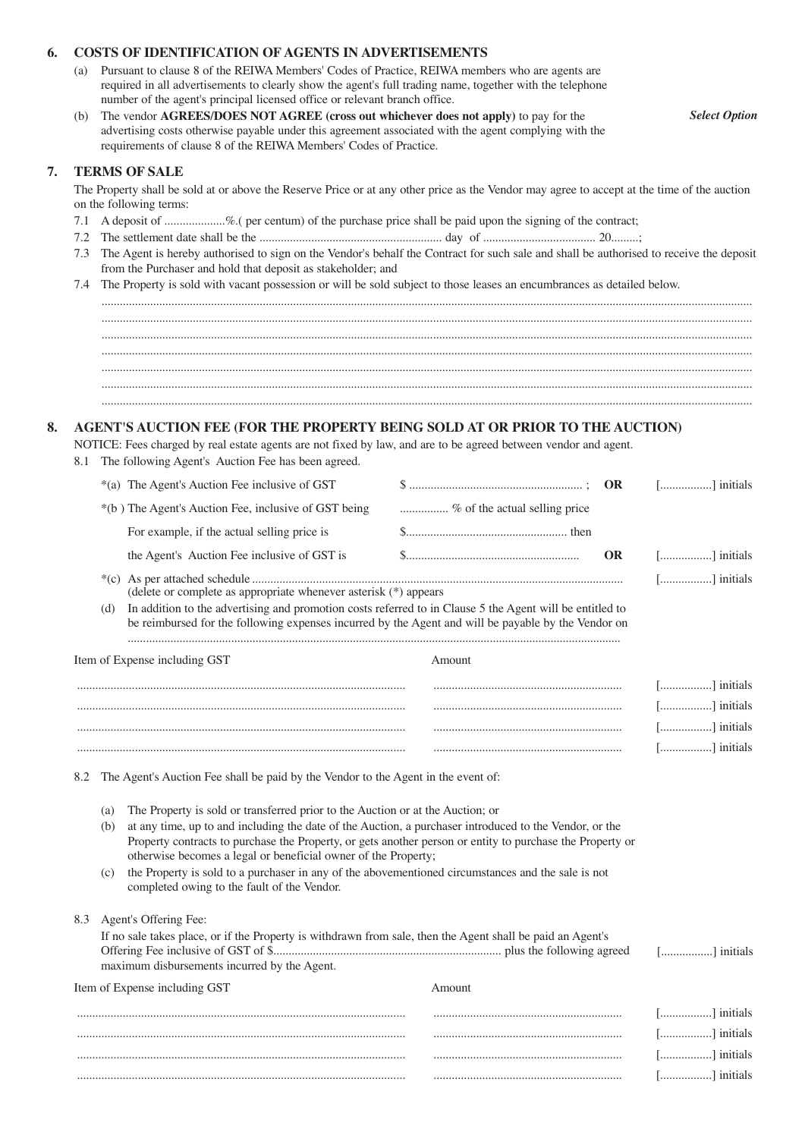## **6. COSTS OF IDENTIFICATION OF AGENTS IN ADVERTISEMENTS**

- **(a) Pursuant to clause 8 of the REIWA Members' Codes of Practice, REIWA members who are agents are required in all advertisements to clearly show the agent's full trading name, together with the telephone number of the agent's principal licensed office or relevant branch office.**
- **(b) The vendor AGREES/DOES NOT AGREE (cross out whichever does not apply) to pay for the advertising costs otherwise payable under this agreement associated with the agent complying with the requirements of clause 8 of the REIWA Members' Codes of Practice.**

#### **7. TERMS OF SALE**

The Property shall be sold at or above the Reserve Price or at any other price as the Vendor may agree to accept at the time of the auction **on the following terms:**

- 7.1 A deposit of ....................%. (per centum) of the purchase price shall be paid upon the signing of the contract;
- **7.2 The settlement date shall be the ............................................................ day of ..................................... 20.........;**
- 7.3 The Agent is hereby authorised to sign on the Vendor's behalf the Contract for such sale and shall be authorised to receive the deposit **from the Purchaser and hold that deposit as stakeholder; and**
- 7.4 The Property is sold with vacant possession or will be sold subject to those leases an encumbrances as detailed below.

**...................................................................................................................................................................................................................... ......................................................................................................................................................................................................................**

**......................................................................................................................................................................................................................**

## **8. AGENT'S AUCTION FEE (FOR THE PROPERTY BEING SOLD AT OR PRIOR TO THE AUCTION)**

NOTICE: Fees charged by real estate agents are not fixed by law, and are to be agreed between vendor and agent.

**8.1 The following Agent's Auction Fee has been agreed.**

|     | *(a) The Agent's Auction Fee inclusive of GST                                                                                                                                                                   |                               |     | $\lfloor$ ] initials |
|-----|-----------------------------------------------------------------------------------------------------------------------------------------------------------------------------------------------------------------|-------------------------------|-----|----------------------|
|     | *(b) The Agent's Auction Fee, inclusive of GST being                                                                                                                                                            | % of the actual selling price |     |                      |
|     | For example, if the actual selling price is                                                                                                                                                                     |                               |     |                      |
|     | the Agent's Auction Fee inclusive of GST is                                                                                                                                                                     |                               | OR. | [] initials          |
|     | (delete or complete as appropriate whenever asterisk $(*)$ ) appears                                                                                                                                            |                               |     | [] initials          |
| (d) | In addition to the advertising and promotion costs referred to in Clause 5 the Agent will be entitled to<br>be reimbursed for the following expenses incurred by the Agent and will be payable by the Vendor on |                               |     |                      |
|     | Item of Expense including GST                                                                                                                                                                                   | Amount                        |     |                      |

| [] initials |  |  |
|-------------|--|--|
| [] initials |  |  |
| [] initials |  |  |
| [] initials |  |  |

**8.2 The Agent's Auction Fee shall be paid by the Vendor to the Agent in the event of:**

- **(a) The Property is sold or transferred prior to the Auction or at the Auction; or**
- (b) at any time, up to and including the date of the Auction, a purchaser introduced to the Vendor, or the **Property contracts to purchase the Property, or gets another person or entity to purchase the Property or otherwise becomes a legal or beneficial owner of the Property;**
- (c) the Property is sold to a purchaser in any of the abovementioned circumstances and the sale is not **completed owing to the fault of the Vendor.**

**8.3 Agent's Offering Fee:**

| If no sale takes place, or if the Property is withdrawn from sale, then the Agent shall be paid an Agent's |        |             |
|------------------------------------------------------------------------------------------------------------|--------|-------------|
|                                                                                                            |        | [] initials |
| maximum disbursements incurred by the Agent.                                                               |        |             |
| Item of Expense including GST                                                                              | Amount |             |
|                                                                                                            |        | .           |

|   | '12 IS<br>       |
|---|------------------|
|   | initials<br>     |
| . | a initials.<br>. |
|   | . <b>.</b> .     |

*Select Option*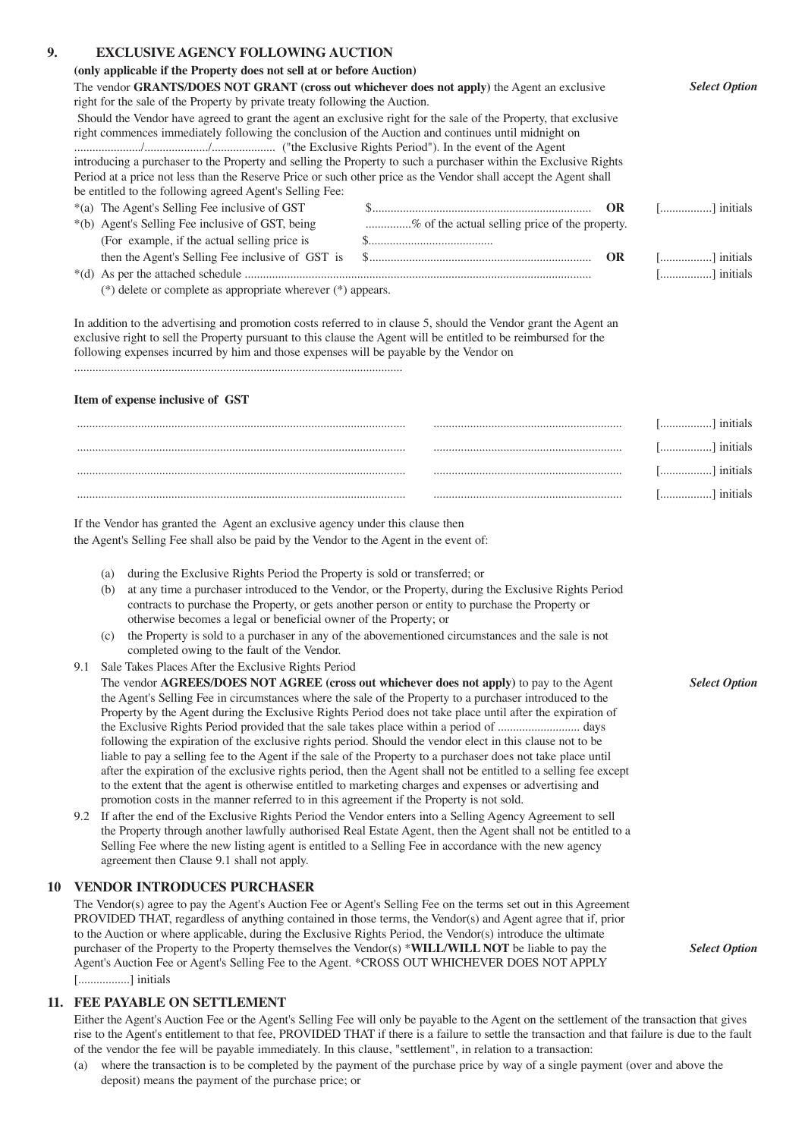# **9. EXCLUSIVE AGENCY FOLLOWING AUCTION**

| EXCLUSIVE AGENCY FOLLOWING AUCTION<br>(only applicable if the Property does not sell at or before Auction)                                                                                                                                                                                                                     |                                                |     |                      |
|--------------------------------------------------------------------------------------------------------------------------------------------------------------------------------------------------------------------------------------------------------------------------------------------------------------------------------|------------------------------------------------|-----|----------------------|
| The vendor GRANTS/DOES NOT GRANT (cross out whichever does not apply) the Agent an exclusive                                                                                                                                                                                                                                   |                                                |     | <b>Select Option</b> |
| right for the sale of the Property by private treaty following the Auction.                                                                                                                                                                                                                                                    |                                                |     |                      |
| Should the Vendor have agreed to grant the agent an exclusive right for the sale of the Property, that exclusive                                                                                                                                                                                                               |                                                |     |                      |
| right commences immediately following the conclusion of the Auction and continues until midnight on                                                                                                                                                                                                                            |                                                |     |                      |
|                                                                                                                                                                                                                                                                                                                                |                                                |     |                      |
| introducing a purchaser to the Property and selling the Property to such a purchaser within the Exclusive Rights                                                                                                                                                                                                               |                                                |     |                      |
| Period at a price not less than the Reserve Price or such other price as the Vendor shall accept the Agent shall                                                                                                                                                                                                               |                                                |     |                      |
| be entitled to the following agreed Agent's Selling Fee:                                                                                                                                                                                                                                                                       |                                                |     |                      |
| *(a) The Agent's Selling Fee inclusive of GST                                                                                                                                                                                                                                                                                  |                                                |     | [] initials          |
| *(b) Agent's Selling Fee inclusive of GST, being                                                                                                                                                                                                                                                                               | % of the actual selling price of the property. |     |                      |
| (For example, if the actual selling price is                                                                                                                                                                                                                                                                                   |                                                |     |                      |
|                                                                                                                                                                                                                                                                                                                                |                                                | OR. | [] initials          |
|                                                                                                                                                                                                                                                                                                                                |                                                |     | [] initials          |
| ( $*$ ) delete or complete as appropriate wherever $(*)$ appears.                                                                                                                                                                                                                                                              |                                                |     |                      |
| In addition to the advertising and promotion costs referred to in clause 5, should the Vendor grant the Agent an<br>exclusive right to sell the Property pursuant to this clause the Agent will be entitled to be reimbursed for the<br>following expenses incurred by him and those expenses will be payable by the Vendor on |                                                |     |                      |
|                                                                                                                                                                                                                                                                                                                                |                                                |     |                      |
| Item of expense inclusive of GST                                                                                                                                                                                                                                                                                               |                                                |     |                      |
|                                                                                                                                                                                                                                                                                                                                |                                                |     | [] initials          |
|                                                                                                                                                                                                                                                                                                                                |                                                |     | [] initials          |
|                                                                                                                                                                                                                                                                                                                                |                                                |     |                      |
|                                                                                                                                                                                                                                                                                                                                |                                                |     | [] initials          |
|                                                                                                                                                                                                                                                                                                                                |                                                |     |                      |
|                                                                                                                                                                                                                                                                                                                                |                                                |     |                      |
| If the Vendor has granted the Agent an exclusive agency under this clause then                                                                                                                                                                                                                                                 |                                                |     |                      |
| the Agent's Selling Fee shall also be paid by the Vendor to the Agent in the event of:                                                                                                                                                                                                                                         |                                                |     |                      |
| during the Exclusive Rights Period the Property is sold or transferred; or<br>(a)                                                                                                                                                                                                                                              |                                                |     |                      |
| at any time a purchaser introduced to the Vendor, or the Property, during the Exclusive Rights Period<br>(b)                                                                                                                                                                                                                   |                                                |     |                      |
| contracts to purchase the Property, or gets another person or entity to purchase the Property or                                                                                                                                                                                                                               |                                                |     |                      |
| otherwise becomes a legal or beneficial owner of the Property; or                                                                                                                                                                                                                                                              |                                                |     |                      |
| the Property is sold to a purchaser in any of the abovementioned circumstances and the sale is not<br>(c)                                                                                                                                                                                                                      |                                                |     |                      |
| completed owing to the fault of the Vendor.                                                                                                                                                                                                                                                                                    |                                                |     |                      |
| 9.1 Sale Takes Places After the Exclusive Rights Period                                                                                                                                                                                                                                                                        |                                                |     |                      |
| The vendor AGREES/DOES NOT AGREE (cross out whichever does not apply) to pay to the Agent                                                                                                                                                                                                                                      |                                                |     | <b>Select Option</b> |
| the Agent's Selling Fee in circumstances where the sale of the Property to a purchaser introduced to the                                                                                                                                                                                                                       |                                                |     |                      |
| Property by the Agent during the Exclusive Rights Period does not take place until after the expiration of                                                                                                                                                                                                                     |                                                |     |                      |
| the Exclusive Rights Period provided that the sale takes place within a period of  days                                                                                                                                                                                                                                        |                                                |     |                      |
| following the expiration of the exclusive rights period. Should the vendor elect in this clause not to be<br>liable to pay a selling fee to the Agent if the sale of the Property to a purchaser does not take place until                                                                                                     |                                                |     |                      |
| after the expiration of the exclusive rights period, then the Agent shall not be entitled to a selling fee except                                                                                                                                                                                                              |                                                |     |                      |
| to the extent that the agent is otherwise entitled to marketing charges and expenses or advertising and                                                                                                                                                                                                                        |                                                |     |                      |
| promotion costs in the manner referred to in this agreement if the Property is not sold.                                                                                                                                                                                                                                       |                                                |     |                      |
| 9.2 If after the end of the Exclusive Rights Period the Vendor enters into a Selling Agency Agreement to sell                                                                                                                                                                                                                  |                                                |     |                      |
| the Property through another lawfully authorised Real Estate Agent, then the Agent shall not be entitled to a                                                                                                                                                                                                                  |                                                |     |                      |
| Selling Fee where the new listing agent is entitled to a Selling Fee in accordance with the new agency                                                                                                                                                                                                                         |                                                |     |                      |
| agreement then Clause 9.1 shall not apply.                                                                                                                                                                                                                                                                                     |                                                |     |                      |
| <b>VENDOR INTRODUCES PURCHASER</b>                                                                                                                                                                                                                                                                                             |                                                |     |                      |
|                                                                                                                                                                                                                                                                                                                                |                                                |     |                      |

The Vendor(s) agree to pay the Agent's Auction Fee or Agent's Selling Fee on the terms set out in this Agreement PROVIDED THAT, regardless of anything contained in those terms, the Vendor(s) and Agent agree that if, prior **to the Auction or where applicable, during the Exclusive Rights Period, the Vendor(s) introduce the ultimate** purchaser of the Property to the Property themselves the Vendor(s) \*WILL/WILL NOT be liable to pay the **Agent's Auction Fee or Agent's Selling Fee to the Agent. \*CROSS OUT WHICHEVER DOES NOT APPLY [.................] initials**

### **11. FEE PAYABLE ON SETTLEMENT**

Either the Agent's Auction Fee or the Agent's Selling Fee will only be payable to the Agent on the settlement of the transaction that gives rise to the Agent's entitlement to that fee, PROVIDED THAT if there is a failure to settle the transaction and that failure is due to the fault of the vendor the fee will be payable immediately. In this clause, "settlement", in relation to a transaction:

*Select Option*

(a) where the transaction is to be completed by the payment of the purchase price by way of a single payment (over and above the **deposit) means the payment of the purchase price; or**